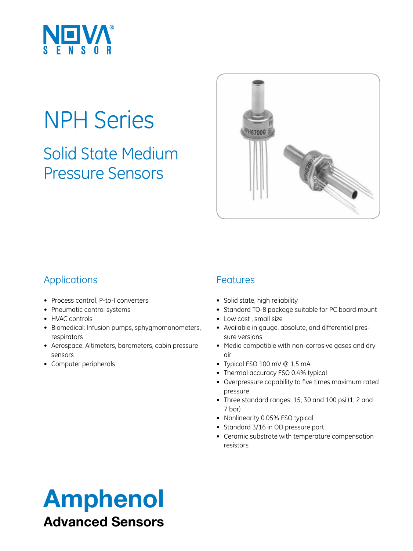

# NPH Series

Solid State Medium Pressure Sensors



### Applications

- • Process control, P-to-I converters
- • Pneumatic control systems
- HVAC controls
- • Biomedical: Infusion pumps, sphygmomanometers, respirators
- Aerospace: Altimeters, barometers, cabin pressure sensors
- • Computer peripherals

#### Features

- Solid state, high reliability
- Standard TO-8 package suitable for PC board mount
- Low cost, small size
- • Available in gauge, absolute, and differential pressure versions
- Media compatible with non-corrosive gases and dry air
- • Typical FSO 100 mV @ 1.5 mA
- Thermal accuracy FSO 0.4% typical
- • Overpressure capability to five times maximum rated pressure
- Three standard ranges: 15, 30 and 100 psi (1, 2 and 7 bar)
- Nonlinearity 0.05% FSO typical
- Standard 3/16 in OD pressure port
- • Ceramic substrate with temperature compensation resistors

## Amphenol Advanced Sensors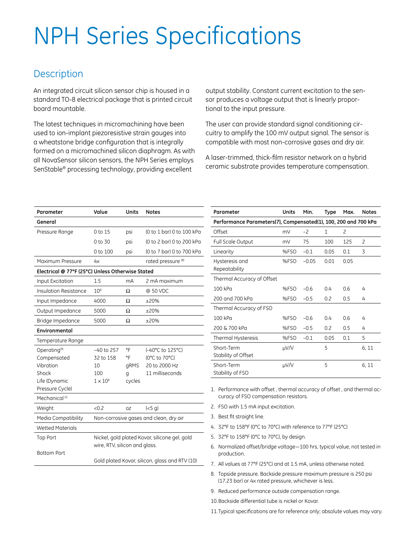# NPH Series Specifications

#### **Description**

An integrated circuit silicon sensor chip is housed in a standard TO-8 electrical package that is printed circuit board mountable.

The latest techniques in micromachining have been used to ion-implant piezoresistive strain gauges into a wheatstone bridge configuration that is integrally formed on a micromachined silicon diaphragm. As with all NovaSensor silicon sensors, the NPH Series employs SenStable® processing technology, providing excellent

output stability. Constant current excitation to the sensor produces a voltage output that is linearly proportional to the input pressure.

The user can provide standard signal conditioning circuitry to amplify the 100 mV output signal. The sensor is compatible with most non-corrosive gases and dry air.

A laser-trimmed, thick-film resistor network on a hybrid ceramic substrate provides temperature compensation.

| Parameter                                        | Value                                                                          | Units  | <b>Notes</b>                  |  |  |  |  |  |
|--------------------------------------------------|--------------------------------------------------------------------------------|--------|-------------------------------|--|--|--|--|--|
| General                                          |                                                                                |        |                               |  |  |  |  |  |
| Pressure Range                                   | 0 to 15                                                                        | psi    | (0 to 1 bar) 0 to 100 kPa     |  |  |  |  |  |
|                                                  | 0 to 30                                                                        | psi    | (0 to 2 bar) 0 to 200 kPa     |  |  |  |  |  |
|                                                  | 0 to 100                                                                       | psi    | (0 to 7 bar) 0 to 700 kPa     |  |  |  |  |  |
| Maximum Pressure                                 | 4x                                                                             |        | rated pressure <sup>(8)</sup> |  |  |  |  |  |
| Electrical @ 77°F (25°C) Unless Otherwise Stated |                                                                                |        |                               |  |  |  |  |  |
| <b>Input Excitation</b>                          | 1.5                                                                            | mA     | 2 mA maximum                  |  |  |  |  |  |
| Insulation Resistance                            | 10 <sup>8</sup>                                                                | Ω      | @ 50 VDC                      |  |  |  |  |  |
| Input Impedance                                  | 4000                                                                           | Ω      | $+20%$                        |  |  |  |  |  |
| Output Impedance                                 | 5000                                                                           | Ω      | ±20%                          |  |  |  |  |  |
| Bridge Impedance                                 | 5000                                                                           | Ω      | $+20%$                        |  |  |  |  |  |
| Environmental                                    |                                                                                |        |                               |  |  |  |  |  |
| Temperature Range                                |                                                                                |        |                               |  |  |  |  |  |
| Operating <sup>(9)</sup>                         | $-40$ to 257                                                                   | °F     | (-40°C to 125°C)              |  |  |  |  |  |
| Compensated                                      | 32 to 158                                                                      | °F     | (0°C to 70°C)                 |  |  |  |  |  |
| Vibration                                        | 10                                                                             | gRMS   | 20 to 2000 Hz                 |  |  |  |  |  |
| Shock                                            | 100                                                                            | g      | 11 milliseconds               |  |  |  |  |  |
| Life (Dynamic                                    | $1 \times 10^6$                                                                | cycles |                               |  |  |  |  |  |
| Pressure Cycle)                                  |                                                                                |        |                               |  |  |  |  |  |
| Mechanical <sup>(1)</sup>                        |                                                                                |        |                               |  |  |  |  |  |
| Weight                                           | &0.2                                                                           | OZ     | (<5 g)                        |  |  |  |  |  |
| Media Compatibility                              | Non-corrosive gases and clean, dry air                                         |        |                               |  |  |  |  |  |
| <b>Wetted Materials</b>                          |                                                                                |        |                               |  |  |  |  |  |
| <b>Top Port</b>                                  | Nickel, gold plated Kovar, silicone gel, gold<br>wire, RTV, silicon and glass. |        |                               |  |  |  |  |  |
|                                                  |                                                                                |        |                               |  |  |  |  |  |
| <b>Bottom Port</b>                               |                                                                                |        |                               |  |  |  |  |  |
|                                                  | Gold plated Kovar, silicon, glass and RTV (10)                                 |        |                               |  |  |  |  |  |

| Parameter                                                       | Units | Min.    | Type | Max.           | <b>Notes</b>   |  |  |
|-----------------------------------------------------------------|-------|---------|------|----------------|----------------|--|--|
| Performance Parameters(7), Compensated(1), 100, 200 and 700 kPa |       |         |      |                |                |  |  |
| Offset                                                          | mV    | $-2$    | 1    | $\overline{c}$ |                |  |  |
| Full Scale Output                                               | mV    | 75      | 100  | 125            | $\overline{c}$ |  |  |
| Linearity                                                       | %FSO  | $-0.1$  | 0.05 | 0.1            | 3              |  |  |
| Hysteresis and<br>Repeatability                                 | %FSO  | $-0.05$ | 0.01 | 0.05           |                |  |  |
| Thermal Accuracy of Offset                                      |       |         |      |                |                |  |  |
| 100 kPa                                                         | %FSO  | $-0.6$  | 0.4  | 0.6            | 4              |  |  |
| 200 and 700 kPa                                                 | %FSO  | $-0.5$  | 0.2  | 0.5            | 4              |  |  |
| Thermal Accuracy of FSO                                         |       |         |      |                |                |  |  |
| 100 kPa                                                         | %FSO  | $-0.6$  | 04   | 0.6            | 4              |  |  |
| 200 & 700 kPa                                                   | %FSO  | $-0.5$  | 0.2  | 0.5            | 4              |  |  |
| Thermal Hysteresis                                              | %FSO  | $-0.1$  | 0.05 | 0.1            | 5              |  |  |
| Short-Term<br>Stability of Offset                               | µV/V  |         | 5    |                | 6, 11          |  |  |
| Short-Term<br>Stability of FSO                                  | µV/V  |         | 5    |                | 6, 11          |  |  |

1. Performance with offset , thermal accuracy of offset , and thermal accuracy of FSO compensation resistors.

- 2. FSO with 1.5 mA input excitation.
- 3. Best fit straight line.
- 4. 32°F to 158°F (0°C to 70°C) with reference to 77°F (25°C)
- 5. 32°F to 158°F (0°C to 70°C), by design.
- 6. Normalized offset/bridge voltage—100 hrs, typical value, not tested in production.
- 7. All values at 77°F (25°C) and at 1.5 mA, unless otherwise noted.
- 8. Topside pressure. Backside pressure maximum pressure is 250 psi (17.23 bar) or 4x rated pressure, whichever is less.
- 9. Reduced performance outside compensation range.
- 10.Backside differential tube is nickel or Kovar.

11.Typical specifications are for reference only; absolute values may vary.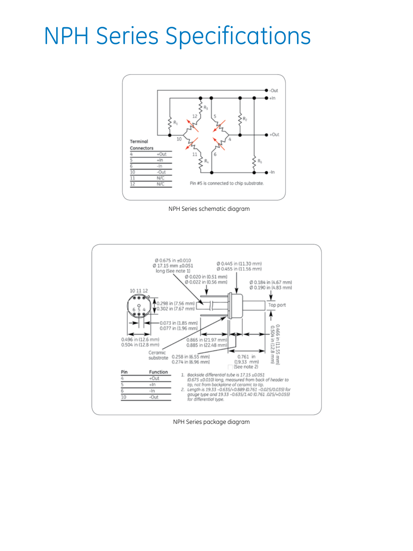## NPH Series Specifications



NPH Series schematic diagram



NPH Series package diagram